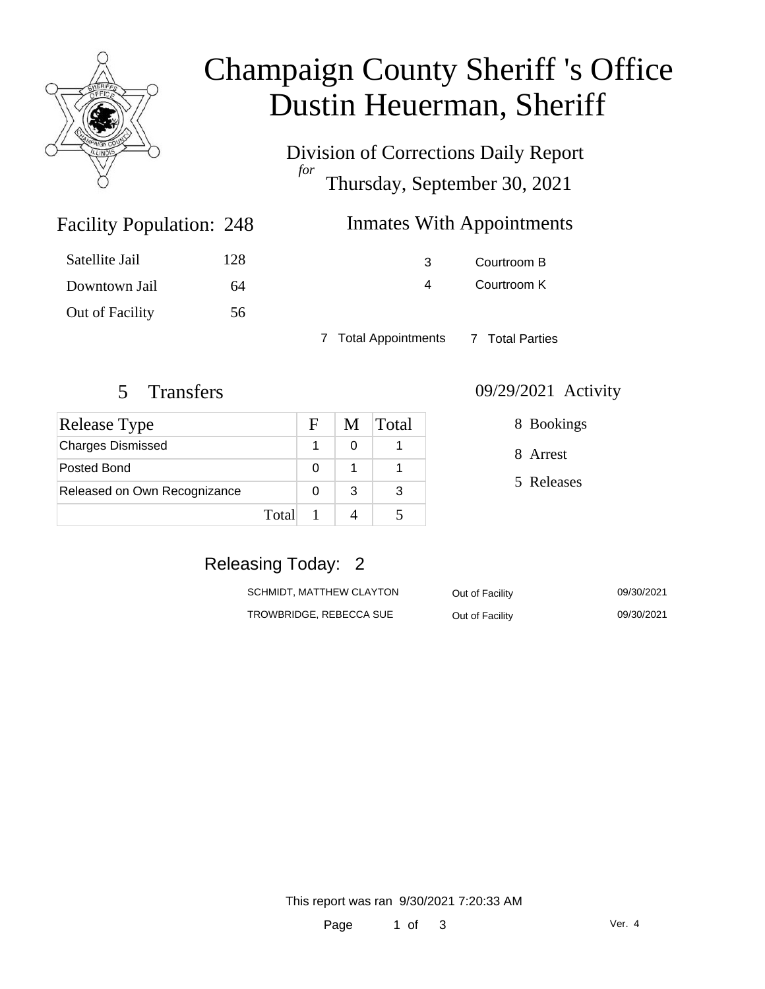

# Champaign County Sheriff 's Office Dustin Heuerman, Sheriff

Division of Corrections Daily Report *for* Thursday, September 30, 2021

## Inmates With Appointments

| Satellite Jail  | 128 |
|-----------------|-----|
| Downtown Jail   | 64  |
| Out of Facility | 56  |

Facility Population: 248

3 Courtroom B 4 Courtroom K

7 Total Appointments 7 Total Parties

| Release Type                 |       | F | M | <b>Total</b> |
|------------------------------|-------|---|---|--------------|
| <b>Charges Dismissed</b>     |       |   |   |              |
| Posted Bond                  |       | 0 |   |              |
| Released on Own Recognizance |       |   | 3 | 3            |
|                              | Total |   |   |              |

#### 5 Transfers 09/29/2021 Activity

8 Bookings

8 Arrest

5 Releases

# Releasing Today: 2

| SCHMIDT. MATTHEW CLAYTON | Out of Facility | 09/30/2021 |
|--------------------------|-----------------|------------|
| TROWBRIDGE, REBECCA SUE  | Out of Facility | 09/30/2021 |

This report was ran 9/30/2021 7:20:33 AM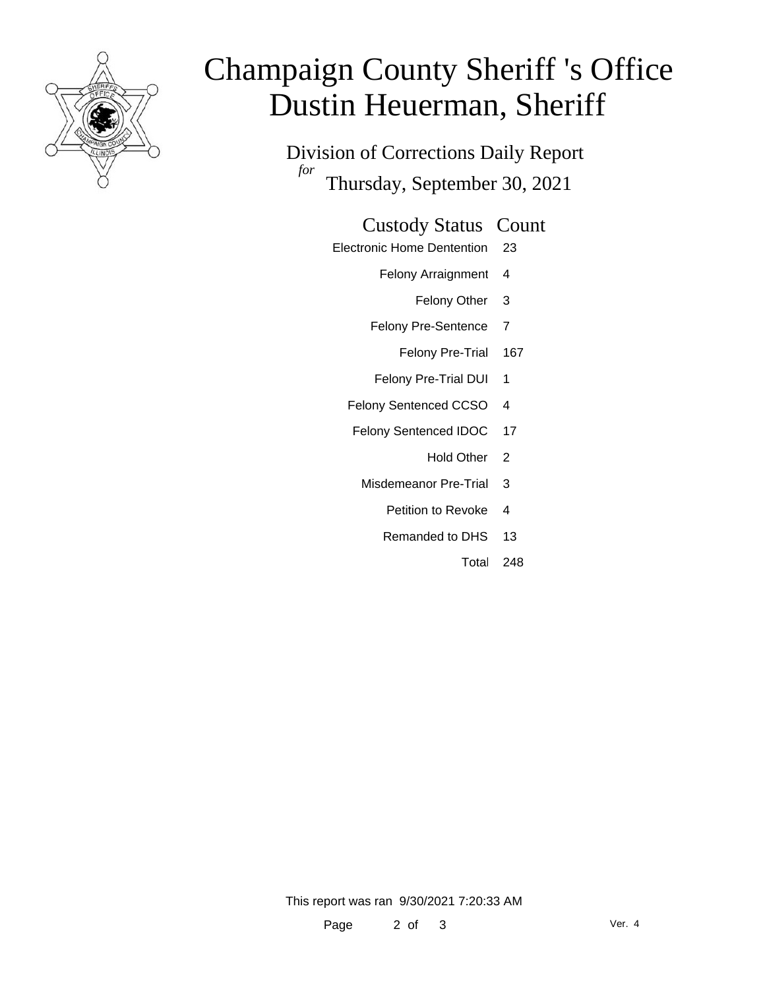

# Champaign County Sheriff 's Office Dustin Heuerman, Sheriff

Division of Corrections Daily Report *for* Thursday, September 30, 2021

#### Custody Status Count

- Electronic Home Dentention 23
	- Felony Arraignment 4
		- Felony Other 3
	- Felony Pre-Sentence 7
		- Felony Pre-Trial 167
	- Felony Pre-Trial DUI 1
	- Felony Sentenced CCSO 4
	- Felony Sentenced IDOC 17
		- Hold Other 2
		- Misdemeanor Pre-Trial 3
			- Petition to Revoke 4
			- Remanded to DHS 13
				- Total 248

This report was ran 9/30/2021 7:20:33 AM